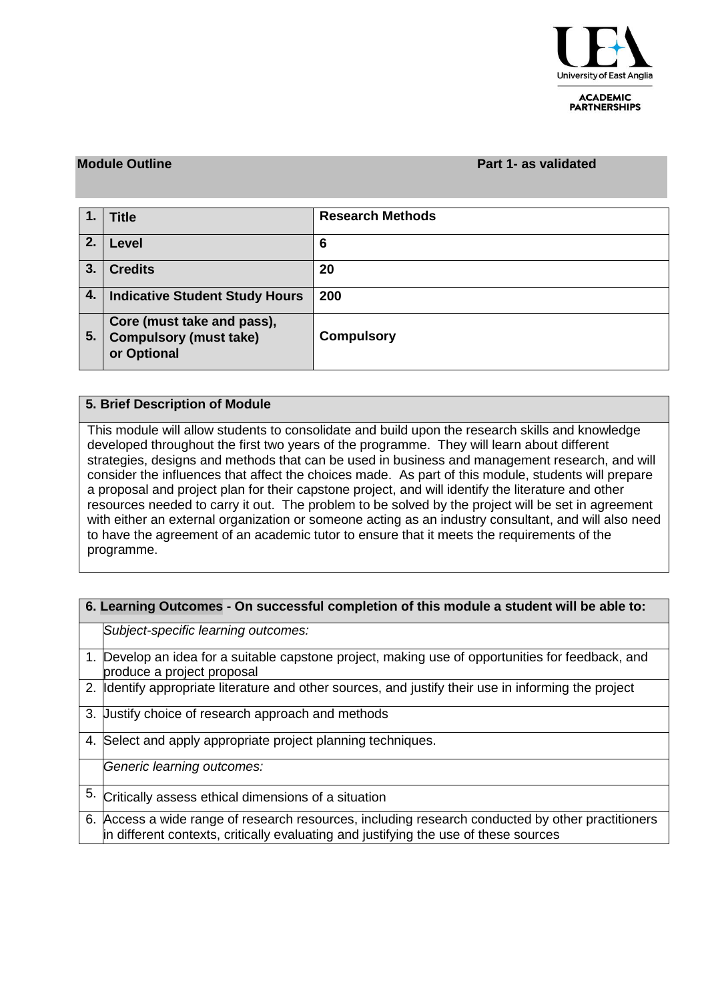

#### **ACADEMIC PARTNERSHIPS**

### **Module Outline Part 1- as validated**

| 1. | <b>Title</b>                                                               | <b>Research Methods</b> |
|----|----------------------------------------------------------------------------|-------------------------|
| 2. | Level                                                                      | 6                       |
| 3. | <b>Credits</b>                                                             | 20                      |
| 4. | <b>Indicative Student Study Hours</b>                                      | 200                     |
| 5. | Core (must take and pass),<br><b>Compulsory (must take)</b><br>or Optional | <b>Compulsory</b>       |

## **5. Brief Description of Module**

This module will allow students to consolidate and build upon the research skills and knowledge developed throughout the first two years of the programme. They will learn about different strategies, designs and methods that can be used in business and management research, and will consider the influences that affect the choices made. As part of this module, students will prepare a proposal and project plan for their capstone project, and will identify the literature and other resources needed to carry it out. The problem to be solved by the project will be set in agreement with either an external organization or someone acting as an industry consultant, and will also need to have the agreement of an academic tutor to ensure that it meets the requirements of the programme.

| 6. Learning Outcomes - On successful completion of this module a student will be able to: |                                                                                                                                                                                           |  |  |  |  |  |  |  |
|-------------------------------------------------------------------------------------------|-------------------------------------------------------------------------------------------------------------------------------------------------------------------------------------------|--|--|--|--|--|--|--|
|                                                                                           | Subject-specific learning outcomes:                                                                                                                                                       |  |  |  |  |  |  |  |
|                                                                                           | 1. Develop an idea for a suitable capstone project, making use of opportunities for feedback, and<br>produce a project proposal                                                           |  |  |  |  |  |  |  |
|                                                                                           | 2. Identify appropriate literature and other sources, and justify their use in informing the project                                                                                      |  |  |  |  |  |  |  |
|                                                                                           | 3. Uustify choice of research approach and methods                                                                                                                                        |  |  |  |  |  |  |  |
|                                                                                           | 4. Select and apply appropriate project planning techniques.                                                                                                                              |  |  |  |  |  |  |  |
|                                                                                           | Generic learning outcomes:                                                                                                                                                                |  |  |  |  |  |  |  |
| 5.                                                                                        | Critically assess ethical dimensions of a situation                                                                                                                                       |  |  |  |  |  |  |  |
|                                                                                           | 6. Access a wide range of research resources, including research conducted by other practitioners<br>in different contexts, critically evaluating and justifying the use of these sources |  |  |  |  |  |  |  |